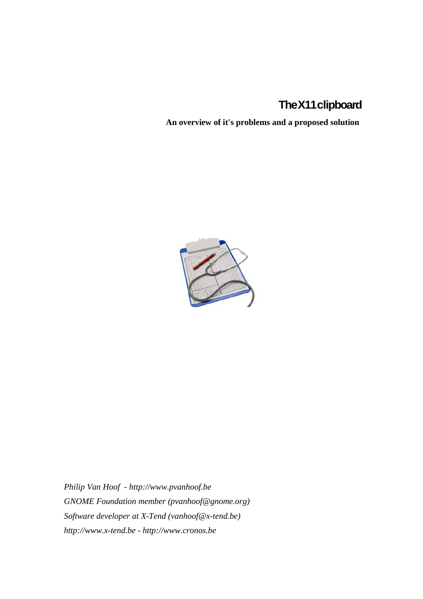# **TheX11clipboard**

**An overview of it's problems and a proposed solution**



*Philip Van Hoof - http://www.pvanhoof.be GNOME Foundation member (pvanhoof@gnome.org) Software developer at X-Tend (vanhoof@x-tend.be) http://www.x-tend.be - http://www.cronos.be*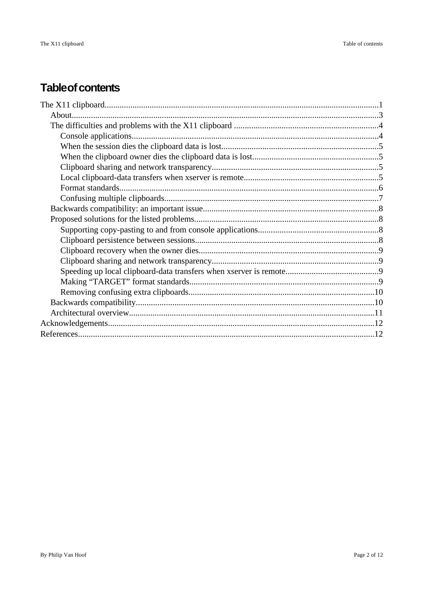# **Table of contents**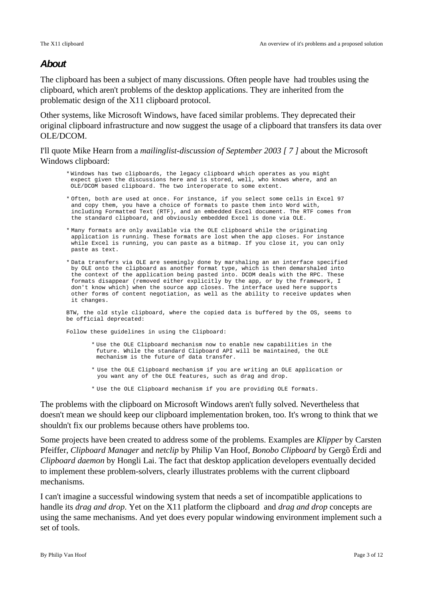# **About**

The clipboard has been a subject of many discussions. Often people have had troubles using the clipboard, which aren't problems of the desktop applications. They are inherited from the problematic design of the X11 clipboard protocol.

Other systems, like Microsoft Windows, have faced similar problems. They deprecated their original clipboard infrastructure and now suggest the usage of a clipboard that transfers its data over OLE/DCOM.

I'll quote Mike Hearn from a *mailinglist-discussion of September 2003 [ 7 ]* about the Microsoft Windows clipboard:

- \* Windows has two clipboards, the legacy clipboard which operates as you might expect given the discussions here and is stored, well, who knows where, and an OLE/DCOM based clipboard. The two interoperate to some extent.
- \* Often, both are used at once. For instance, if you select some cells in Excel 97 and copy them, you have a choice of formats to paste them into Word with, including Formatted Text (RTF), and an embedded Excel document. The RTF comes from the standard clipboard, and obviously embedded Excel is done via OLE.
- \* Many formats are only available via the OLE clipboard while the originating application is running. These formats are lost when the app closes. For instance while Excel is running, you can paste as a bitmap. If you close it, you can only paste as text.
- \* Data transfers via OLE are seemingly done by marshaling an an interface specified by OLE onto the clipboard as another format type, which is then demarshaled into the context of the application being pasted into. DCOM deals with the RPC. These formats disappear (removed either explicitly by the app, or by the framework, I don't know which) when the source app closes. The interface used here supports other forms of content negotiation, as well as the ability to receive updates when it changes.

BTW, the old style clipboard, where the copied data is buffered by the OS, seems to be official deprecated:

Follow these guidelines in using the Clipboard:

- \* Use the OLE Clipboard mechanism now to enable new capabilities in the future. While the standard Clipboard API will be maintained, the OLE mechanism is the future of data transfer.
- \* Use the OLE Clipboard mechanism if you are writing an OLE application or you want any of the OLE features, such as drag and drop.
- \* Use the OLE Clipboard mechanism if you are providing OLE formats.

The problems with the clipboard on Microsoft Windows aren't fully solved. Nevertheless that doesn't mean we should keep our clipboard implementation broken, too. It's wrong to think that we shouldn't fix our problems because others have problems too.

Some projects have been created to address some of the problems. Examples are *Klipper* by Carsten Pfeiffer, *Clipboard Manager* and *netclip* by Philip Van Hoof, *Bonobo Clipboard* by Gergõ Érdi and *Clipboard daemon* by Hongli Lai. The fact that desktop application developers eventually decided to implement these problem-solvers, clearly illustrates problems with the current clipboard mechanisms.

I can't imagine a successful windowing system that needs a set of incompatible applications to handle its *drag and drop*. Yet on the X11 platform the clipboard and *drag and drop* concepts are using the same mechanisms. And yet does every popular windowing environment implement such a set of tools.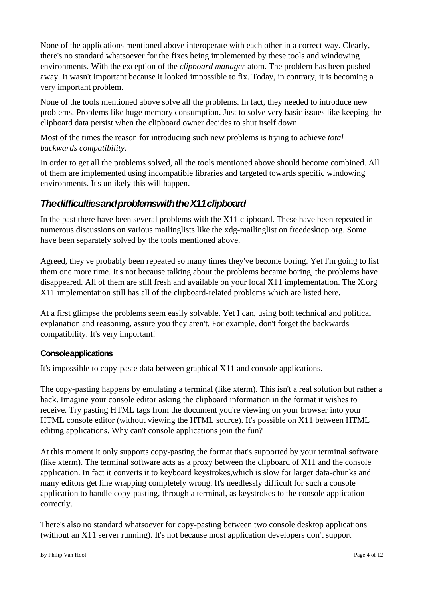None of the applications mentioned above interoperate with each other in a correct way. Clearly, there's no standard whatsoever for the fixes being implemented by these tools and windowing environments. With the exception of the *clipboard manager* atom. The problem has been pushed away. It wasn't important because it looked impossible to fix. Today, in contrary, it is becoming a very important problem.

None of the tools mentioned above solve all the problems. In fact, they needed to introduce new problems. Problems like huge memory consumption. Just to solve very basic issues like keeping the clipboard data persist when the clipboard owner decides to shut itself down.

Most of the times the reason for introducing such new problems is trying to achieve *total backwards compatibility*.

In order to get all the problems solved, all the tools mentioned above should become combined. All of them are implemented using incompatible libraries and targeted towards specific windowing environments. It's unlikely this will happen.

# **ThedifficultiesandproblemswiththeX11clipboard**

In the past there have been several problems with the X11 clipboard. These have been repeated in numerous discussions on various mailinglists like the xdg-mailinglist on freedesktop.org. Some have been separately solved by the tools mentioned above.

Agreed, they've probably been repeated so many times they've become boring. Yet I'm going to list them one more time. It's not because talking about the problems became boring, the problems have disappeared. All of them are still fresh and available on your local X11 implementation. The X.org X11 implementation still has all of the clipboard-related problems which are listed here.

At a first glimpse the problems seem easily solvable. Yet I can, using both technical and political explanation and reasoning, assure you they aren't. For example, don't forget the backwards compatibility. It's very important!

## **Consoleapplications**

It's impossible to copy-paste data between graphical X11 and console applications.

The copy-pasting happens by emulating a terminal (like xterm). This isn't a real solution but rather a hack. Imagine your console editor asking the clipboard information in the format it wishes to receive. Try pasting HTML tags from the document you're viewing on your browser into your HTML console editor (without viewing the HTML source). It's possible on X11 between HTML editing applications. Why can't console applications join the fun?

At this moment it only supports copy-pasting the format that's supported by your terminal software (like xterm). The terminal software acts as a proxy between the clipboard of X11 and the console application. In fact it converts it to keyboard keystrokes,which is slow for larger data-chunks and many editors get line wrapping completely wrong. It's needlessly difficult for such a console application to handle copy-pasting, through a terminal, as keystrokes to the console application correctly.

There's also no standard whatsoever for copy-pasting between two console desktop applications (without an X11 server running). It's not because most application developers don't support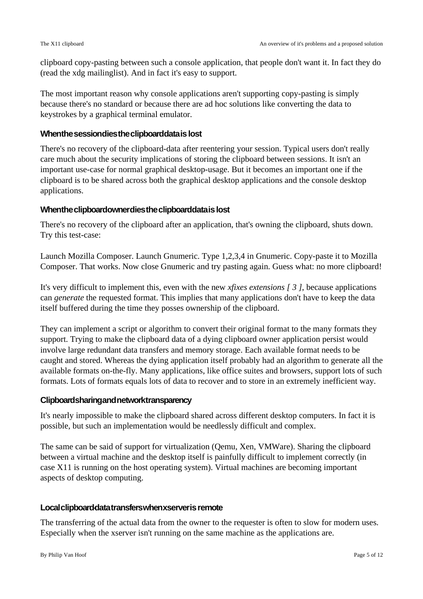clipboard copy-pasting between such a console application, that people don't want it. In fact they do (read the xdg mailinglist). And in fact it's easy to support.

The most important reason why console applications aren't supporting copy-pasting is simply because there's no standard or because there are ad hoc solutions like converting the data to keystrokes by a graphical terminal emulator.

#### **Whenthesessiondiestheclipboarddataislost**

There's no recovery of the clipboard-data after reentering your session. Typical users don't really care much about the security implications of storing the clipboard between sessions. It isn't an important use-case for normal graphical desktop-usage. But it becomes an important one if the clipboard is to be shared across both the graphical desktop applications and the console desktop applications.

## **Whentheclipboardownerdiestheclipboarddataislost**

There's no recovery of the clipboard after an application, that's owning the clipboard, shuts down. Try this test-case:

Launch Mozilla Composer. Launch Gnumeric. Type 1,2,3,4 in Gnumeric. Copy-paste it to Mozilla Composer. That works. Now close Gnumeric and try pasting again. Guess what: no more clipboard!

It's very difficult to implement this, even with the new *xfixes extensions [ 3 ]*, because applications can *generate* the requested format. This implies that many applications don't have to keep the data itself buffered during the time they posses ownership of the clipboard.

They can implement a script or algorithm to convert their original format to the many formats they support. Trying to make the clipboard data of a dying clipboard owner application persist would involve large redundant data transfers and memory storage. Each available format needs to be caught and stored. Whereas the dying application itself probably had an algorithm to generate all the available formats on-the-fly. Many applications, like office suites and browsers, support lots of such formats. Lots of formats equals lots of data to recover and to store in an extremely inefficient way.

#### **Clipboardsharingandnetworktransparency**

It's nearly impossible to make the clipboard shared across different desktop computers. In fact it is possible, but such an implementation would be needlessly difficult and complex.

The same can be said of support for virtualization (Qemu, Xen, VMWare). Sharing the clipboard between a virtual machine and the desktop itself is painfully difficult to implement correctly (in case X11 is running on the host operating system). Virtual machines are becoming important aspects of desktop computing.

#### Local clipboard-datatransferswhenxserver is remote

The transferring of the actual data from the owner to the requester is often to slow for modern uses. Especially when the xserver isn't running on the same machine as the applications are.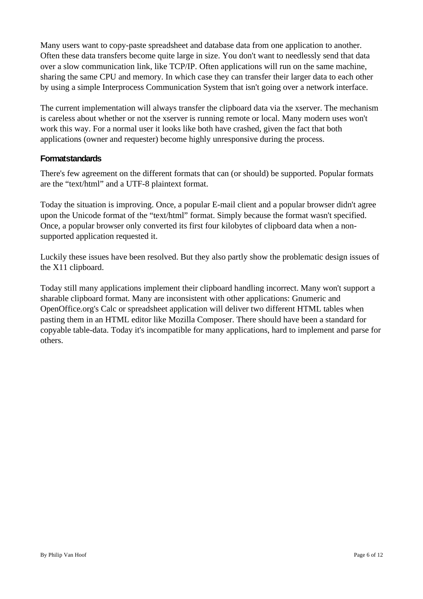Many users want to copy-paste spreadsheet and database data from one application to another. Often these data transfers become quite large in size. You don't want to needlessly send that data over a slow communication link, like TCP/IP. Often applications will run on the same machine, sharing the same CPU and memory. In which case they can transfer their larger data to each other by using a simple Interprocess Communication System that isn't going over a network interface.

The current implementation will always transfer the clipboard data via the xserver. The mechanism is careless about whether or not the xserver is running remote or local. Many modern uses won't work this way. For a normal user it looks like both have crashed, given the fact that both applications (owner and requester) become highly unresponsive during the process.

# **Formatstandards**

There's few agreement on the different formats that can (or should) be supported. Popular formats are the "text/html" and a UTF-8 plaintext format.

Today the situation is improving. Once, a popular E-mail client and a popular browser didn't agree upon the Unicode format of the "text/html" format. Simply because the format wasn't specified. Once, a popular browser only converted its first four kilobytes of clipboard data when a nonsupported application requested it.

Luckily these issues have been resolved. But they also partly show the problematic design issues of the X11 clipboard.

Today still many applications implement their clipboard handling incorrect. Many won't support a sharable clipboard format. Many are inconsistent with other applications: Gnumeric and OpenOffice.org's Calc or spreadsheet application will deliver two different HTML tables when pasting them in an HTML editor like Mozilla Composer. There should have been a standard for copyable table-data. Today it's incompatible for many applications, hard to implement and parse for others.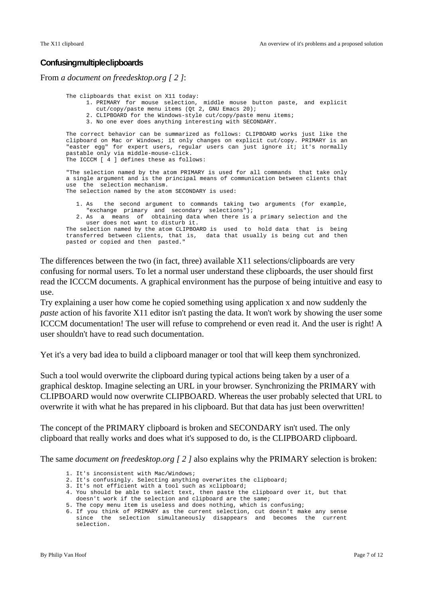#### **Confusingmultipleclipboards**

From *a document on freedesktop.org [ 2 ]*:

The clipboards that exist on X11 today: 1. PRIMARY for mouse selection, middle mouse button paste, and explicit cut/copy/paste menu items (Qt 2, GNU Emacs 20); 2. CLIPBOARD for the Windows-style cut/copy/paste menu items; 3. No one ever does anything interesting with SECONDARY. The correct behavior can be summarized as follows: CLIPBOARD works just like the clipboard on Mac or Windows; it only changes on explicit cut/copy. PRIMARY is an "easter egg" for expert users, regular users can just ignore it; it's normally pastable only via middle-mouse-click. The ICCCM [ 4 ] defines these as follows: "The selection named by the atom PRIMARY is used for all commands that take only a single argument and is the principal means of communication between clients that use the selection mechanism. The selection named by the atom SECONDARY is used: 1. As the second argument to commands taking two arguments (for example, "exchange primary and secondary selections"); 2. As a means of obtaining data when there is a primary selection and the user does not want to disturb it. The selection named by the atom CLIPBOARD is used to hold data that is being transferred between clients, that is, data that usually is being cut and then pasted or copied and then pasted."

The differences between the two (in fact, three) available X11 selections/clipboards are very confusing for normal users. To let a normal user understand these clipboards, the user should first read the ICCCM documents. A graphical environment has the purpose of being intuitive and easy to use.

Try explaining a user how come he copied something using application x and now suddenly the *paste* action of his favorite X11 editor isn't pasting the data. It won't work by showing the user some ICCCM documentation! The user will refuse to comprehend or even read it. And the user is right! A user shouldn't have to read such documentation.

Yet it's a very bad idea to build a clipboard manager or tool that will keep them synchronized.

Such a tool would overwrite the clipboard during typical actions being taken by a user of a graphical desktop. Imagine selecting an URL in your browser. Synchronizing the PRIMARY with CLIPBOARD would now overwrite CLIPBOARD. Whereas the user probably selected that URL to overwrite it with what he has prepared in his clipboard. But that data has just been overwritten!

The concept of the PRIMARY clipboard is broken and SECONDARY isn't used. The only clipboard that really works and does what it's supposed to do, is the CLIPBOARD clipboard.

The same *document on freedesktop.org [ 2 ]* also explains why the PRIMARY selection is broken:

- 1. It's inconsistent with Mac/Windows;
- 2. It's confusingly. Selecting anything overwrites the clipboard;
- 3. It's not efficient with a tool such as xclipboard;
- 4. You should be able to select text, then paste the clipboard over it, but that
- doesn't work if the selection and clipboard are the same;
- 5. The copy menu item is useless and does nothing, which is confusing;

<sup>6.</sup> If you think of PRIMARY as the current selection, cut doesn't make any sense since the selection simultaneously disappears and becomes the current selection.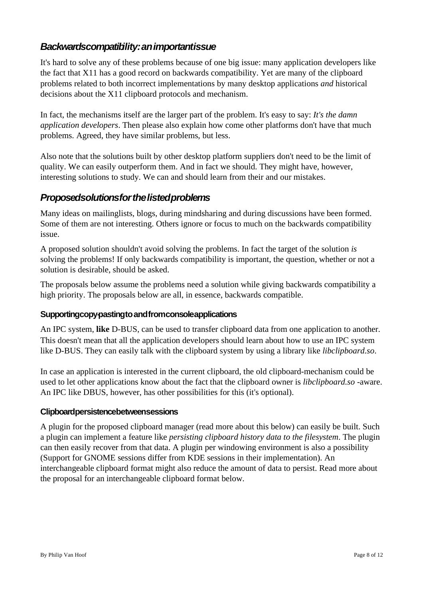# **Backwardscompatibility:animportantissue**

It's hard to solve any of these problems because of one big issue: many application developers like the fact that X11 has a good record on backwards compatibility. Yet are many of the clipboard problems related to both incorrect implementations by many desktop applications *and* historical decisions about the X11 clipboard protocols and mechanism.

In fact, the mechanisms itself are the larger part of the problem. It's easy to say: *It's the damn application developers*. Then please also explain how come other platforms don't have that much problems. Agreed, they have similar problems, but less.

Also note that the solutions built by other desktop platform suppliers don't need to be the limit of quality. We can easily outperform them. And in fact we should. They might have, however, interesting solutions to study. We can and should learn from their and our mistakes.

# **Proposedsolutionsforthelistedproblems**

Many ideas on mailinglists, blogs, during mindsharing and during discussions have been formed. Some of them are not interesting. Others ignore or focus to much on the backwards compatibility issue.

A proposed solution shouldn't avoid solving the problems. In fact the target of the solution *is* solving the problems! If only backwards compatibility is important, the question, whether or not a solution is desirable, should be asked.

The proposals below assume the problems need a solution while giving backwards compatibility a high priority. The proposals below are all, in essence, backwards compatible.

# **Supportingcopy-pastingtoandfromconsoleapplications**

An IPC system, **like** D-BUS, can be used to transfer clipboard data from one application to another. This doesn't mean that all the application developers should learn about how to use an IPC system like D-BUS. They can easily talk with the clipboard system by using a library like *libclipboard.so*.

In case an application is interested in the current clipboard, the old clipboard-mechanism could be used to let other applications know about the fact that the clipboard owner is *libclipboard.so -*aware. An IPC like DBUS, however, has other possibilities for this (it's optional).

## **Clipboardpersistencebetweensessions**

A plugin for the proposed clipboard manager (read more about this below) can easily be built. Such a plugin can implement a feature like *persisting clipboard history data to the filesystem*. The plugin can then easily recover from that data. A plugin per windowing environment is also a possibility (Support for GNOME sessions differ from KDE sessions in their implementation). An interchangeable clipboard format might also reduce the amount of data to persist. Read more about the proposal for an interchangeable clipboard format below.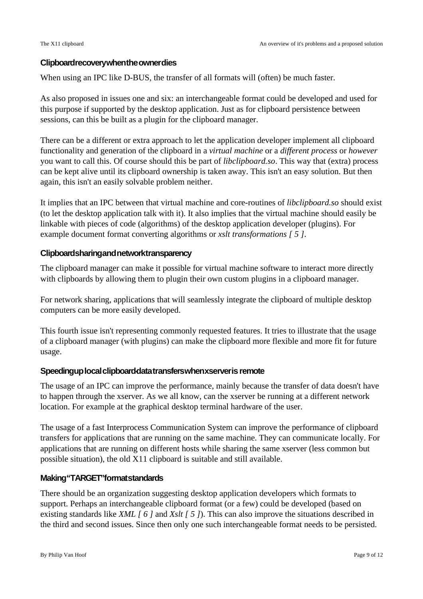## **Clipboardrecoverywhentheownerdies**

When using an IPC like D-BUS, the transfer of all formats will (often) be much faster.

As also proposed in issues one and six: an interchangeable format could be developed and used for this purpose if supported by the desktop application. Just as for clipboard persistence between sessions, can this be built as a plugin for the clipboard manager.

There can be a different or extra approach to let the application developer implement all clipboard functionality and generation of the clipboard in a *virtual machine* or a *different process* or *however* you want to call this. Of course should this be part of *libclipboard.so*. This way that (extra) process can be kept alive until its clipboard ownership is taken away. This isn't an easy solution. But then again, this isn't an easily solvable problem neither.

It implies that an IPC between that virtual machine and core-routines of *libclipboard.so* should exist (to let the desktop application talk with it). It also implies that the virtual machine should easily be linkable with pieces of code (algorithms) of the desktop application developer (plugins). For example document format converting algorithms or *xslt transformations [ 5 ]*.

# **Clipboardsharingandnetworktransparency**

The clipboard manager can make it possible for virtual machine software to interact more directly with clipboards by allowing them to plugin their own custom plugins in a clipboard manager.

For network sharing, applications that will seamlessly integrate the clipboard of multiple desktop computers can be more easily developed.

This fourth issue isn't representing commonly requested features. It tries to illustrate that the usage of a clipboard manager (with plugins) can make the clipboard more flexible and more fit for future usage.

## Speedingup local clipboard-datatransferswhenxserver is remote

The usage of an IPC can improve the performance, mainly because the transfer of data doesn't have to happen through the xserver. As we all know, can the xserver be running at a different network location. For example at the graphical desktop terminal hardware of the user.

The usage of a fast Interprocess Communication System can improve the performance of clipboard transfers for applications that are running on the same machine. They can communicate locally. For applications that are running on different hosts while sharing the same xserver (less common but possible situation), the old X11 clipboard is suitable and still available.

## **Making"TARGET"formatstandards**

There should be an organization suggesting desktop application developers which formats to support. Perhaps an interchangeable clipboard format (or a few) could be developed (based on existing standards like *XML [ 6 ]* and *Xslt [ 5 ]*). This can also improve the situations described in the third and second issues. Since then only one such interchangeable format needs to be persisted.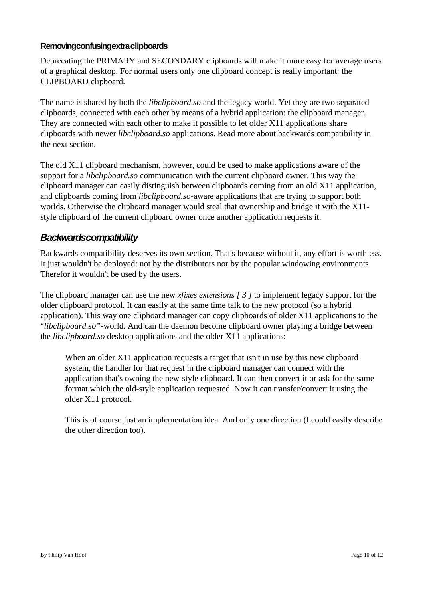# **Removingconfusingextraclipboards**

Deprecating the PRIMARY and SECONDARY clipboards will make it more easy for average users of a graphical desktop. For normal users only one clipboard concept is really important: the CLIPBOARD clipboard.

The name is shared by both the *libclipboard.so* and the legacy world. Yet they are two separated clipboards, connected with each other by means of a hybrid application: the clipboard manager. They are connected with each other to make it possible to let older X11 applications share clipboards with newer *libclipboard.so* applications. Read more about backwards compatibility in the next section.

The old X11 clipboard mechanism, however, could be used to make applications aware of the support for a *libclipboard.so* communication with the current clipboard owner. This way the clipboard manager can easily distinguish between clipboards coming from an old X11 application, and clipboards coming from *libclipboard.so*-aware applications that are trying to support both worlds. Otherwise the clipboard manager would steal that ownership and bridge it with the X11 style clipboard of the current clipboard owner once another application requests it.

# **Backwardscompatibility**

Backwards compatibility deserves its own section. That's because without it, any effort is worthless. It just wouldn't be deployed: not by the distributors nor by the popular windowing environments. Therefor it wouldn't be used by the users.

The clipboard manager can use the new *xfixes extensions [ 3 ]* to implement legacy support for the older clipboard protocol. It can easily at the same time talk to the new protocol (so a hybrid application). This way one clipboard manager can copy clipboards of older X11 applications to the "*libclipboard.so"-*world. And can the daemon become clipboard owner playing a bridge between the *libclipboard.so* desktop applications and the older X11 applications:

When an older X11 application requests a target that isn't in use by this new clipboard system, the handler for that request in the clipboard manager can connect with the application that's owning the new-style clipboard. It can then convert it or ask for the same format which the old-style application requested. Now it can transfer/convert it using the older X11 protocol.

This is of course just an implementation idea. And only one direction (I could easily describe the other direction too).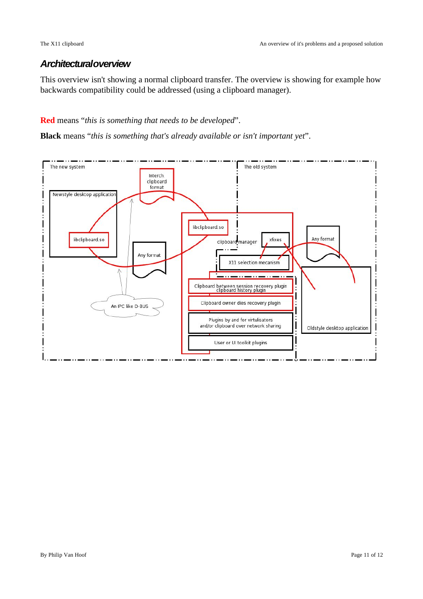# **Architecturaloverview**

This overview isn't showing a normal clipboard transfer. The overview is showing for example how backwards compatibility could be addressed (using a clipboard manager).

# **Red** means "*this is something that needs to be developed*".

**Black** means "*this is something that's already available or isn't important yet*".